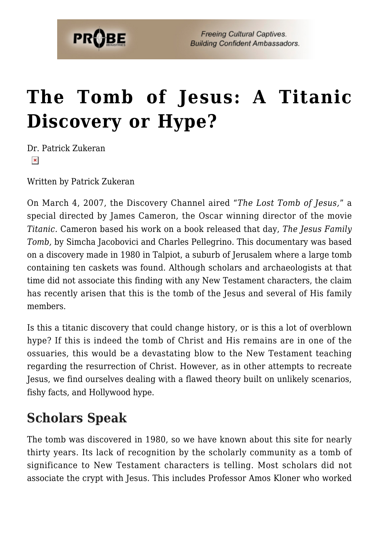

# **[The Tomb of Jesus: A Titanic](https://probe.org/the-tomb-of-jesus-a-titanic-discovery-or-hype/) [Discovery or Hype?](https://probe.org/the-tomb-of-jesus-a-titanic-discovery-or-hype/)**

Dr. Patrick Zukeran  $\pmb{\times}$ 

Written by Patrick Zukeran

On March 4, 2007, the Discovery Channel aired "*The Lost Tomb of Jesus,*" a special directed by James Cameron, the Oscar winning director of the movie *Titanic.* Cameron based his work on a book released that day, *The Jesus Family Tomb,* by Simcha Jacobovici and Charles Pellegrino. This documentary was based on a discovery made in 1980 in Talpiot, a suburb of Jerusalem where a large tomb containing ten caskets was found. Although scholars and archaeologists at that time did not associate this finding with any New Testament characters, the claim has recently arisen that this is the tomb of the Jesus and several of His family members.

Is this a titanic discovery that could change history, or is this a lot of overblown hype? If this is indeed the tomb of Christ and His remains are in one of the ossuaries, this would be a devastating blow to the New Testament teaching regarding the resurrection of Christ. However, as in other attempts to recreate Jesus, we find ourselves dealing with a flawed theory built on unlikely scenarios, fishy facts, and Hollywood hype.

### **Scholars Speak**

The tomb was discovered in 1980, so we have known about this site for nearly thirty years. Its lack of recognition by the scholarly community as a tomb of significance to New Testament characters is telling. Most scholars did not associate the crypt with Jesus. This includes Professor Amos Kloner who worked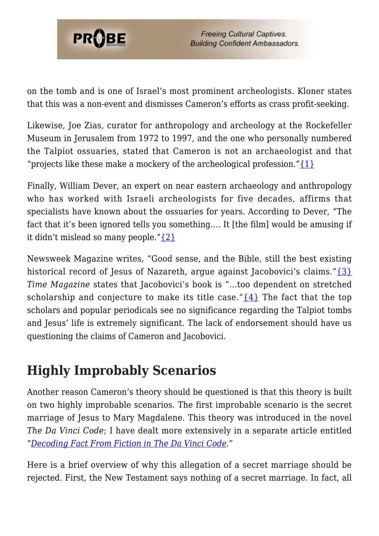

on the tomb and is one of Israel's most prominent archeologists. Kloner states that this was a non-event and dismisses Cameron's efforts as crass profit-seeking.

Likewise, Joe Zias, curator for anthropology and archeology at the Rockefeller Museum in Jerusalem from 1972 to 1997, and the one who personally numbered the Talpiot ossuaries, stated that Cameron is not an archaeologist and that "projects like these make a mockery of the archeological profession." $\{1\}$ 

Finally, William Dever, an expert on near eastern archaeology and anthropology who has worked with Israeli archeologists for five decades, affirms that specialists have known about the ossuaries for years. According to Dever, "The fact that it's been ignored tells you something…. It [the film] would be amusing if it didn't mislead so many people.["{2}](#page-8-0)

Newsweek Magazine writes, "Good sense, and the Bible, still the best existing historical record of Jesus of Nazareth, arque against Jacobovici's claims."[{3}](#page-8-1) *Time Magazine* states that Jacobovici's book is "…too dependent on stretched scholarship and conjecture to make its title case." $\{4\}$  The fact that the top scholars and popular periodicals see no significance regarding the Talpiot tombs and Jesus' life is extremely significant. The lack of endorsement should have us questioning the claims of Cameron and Jacobovici.

# **Highly Improbably Scenarios**

Another reason Cameron's theory should be questioned is that this theory is built on two highly improbable scenarios. The first improbable scenario is the secret marriage of Jesus to Mary Magdalene. This theory was introduced in the novel *The Da Vinci Code*; I have dealt more extensively in a separate article entitled "*[Decoding Fact From Fiction in The Da Vinci Code.](http://www.evidenceandanswers.org/articles/DaVinciCodeA1.pdf)"*

Here is a brief overview of why this allegation of a secret marriage should be rejected. First, the New Testament says nothing of a secret marriage. In fact, all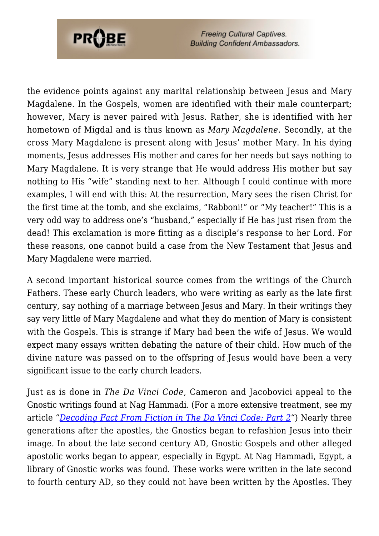

**Freeing Cultural Captives. Building Confident Ambassadors.** 

the evidence points against any marital relationship between Jesus and Mary Magdalene. In the Gospels, women are identified with their male counterpart; however, Mary is never paired with Jesus. Rather, she is identified with her hometown of Migdal and is thus known as *Mary Magdalene*. Secondly, at the cross Mary Magdalene is present along with Jesus' mother Mary. In his dying moments, Jesus addresses His mother and cares for her needs but says nothing to Mary Magdalene. It is very strange that He would address His mother but say nothing to His "wife" standing next to her. Although I could continue with more examples, I will end with this: At the resurrection, Mary sees the risen Christ for the first time at the tomb, and she exclaims, "Rabboni!" or "My teacher!" This is a very odd way to address one's "husband," especially if He has just risen from the dead! This exclamation is more fitting as a disciple's response to her Lord. For these reasons, one cannot build a case from the New Testament that Jesus and Mary Magdalene were married.

A second important historical source comes from the writings of the Church Fathers. These early Church leaders, who were writing as early as the late first century, say nothing of a marriage between Jesus and Mary. In their writings they say very little of Mary Magdalene and what they do mention of Mary is consistent with the Gospels. This is strange if Mary had been the wife of Jesus. We would expect many essays written debating the nature of their child. How much of the divine nature was passed on to the offspring of Jesus would have been a very significant issue to the early church leaders.

Just as is done in *The Da Vinci Code*, Cameron and Jacobovici appeal to the Gnostic writings found at Nag Hammadi. (For a more extensive treatment, see my article "*[Decoding Fact From Fiction in The Da Vinci Code: Part 2](http://www.evidenceandanswers.org/articles/DaVinciCodeA2.pdf)"*) Nearly three generations after the apostles, the Gnostics began to refashion Jesus into their image. In about the late second century AD, Gnostic Gospels and other alleged apostolic works began to appear, especially in Egypt. At Nag Hammadi, Egypt, a library of Gnostic works was found. These works were written in the late second to fourth century AD, so they could not have been written by the Apostles. They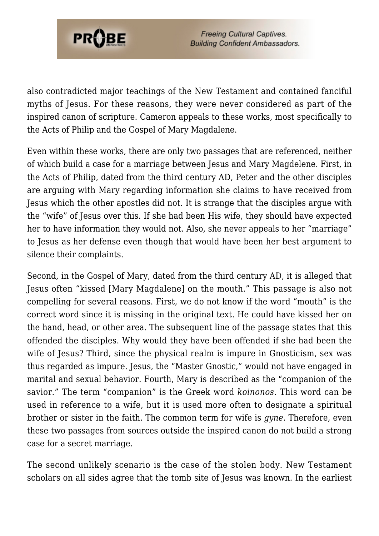

also contradicted major teachings of the New Testament and contained fanciful myths of Jesus. For these reasons, they were never considered as part of the inspired canon of scripture. Cameron appeals to these works, most specifically to the Acts of Philip and the Gospel of Mary Magdalene.

Even within these works, there are only two passages that are referenced, neither of which build a case for a marriage between Jesus and Mary Magdelene. First, in the Acts of Philip, dated from the third century AD, Peter and the other disciples are arguing with Mary regarding information she claims to have received from Jesus which the other apostles did not. It is strange that the disciples argue with the "wife" of Jesus over this. If she had been His wife, they should have expected her to have information they would not. Also, she never appeals to her "marriage" to Jesus as her defense even though that would have been her best argument to silence their complaints.

Second, in the Gospel of Mary, dated from the third century AD, it is alleged that Jesus often "kissed [Mary Magdalene] on the mouth." This passage is also not compelling for several reasons. First, we do not know if the word "mouth" is the correct word since it is missing in the original text. He could have kissed her on the hand, head, or other area. The subsequent line of the passage states that this offended the disciples. Why would they have been offended if she had been the wife of Jesus? Third, since the physical realm is impure in Gnosticism, sex was thus regarded as impure. Jesus, the "Master Gnostic," would not have engaged in marital and sexual behavior. Fourth, Mary is described as the "companion of the savior." The term "companion" is the Greek word *koinonos*. This word can be used in reference to a wife, but it is used more often to designate a spiritual brother or sister in the faith. The common term for wife is *gyne*. Therefore, even these two passages from sources outside the inspired canon do not build a strong case for a secret marriage.

The second unlikely scenario is the case of the stolen body. New Testament scholars on all sides agree that the tomb site of Jesus was known. In the earliest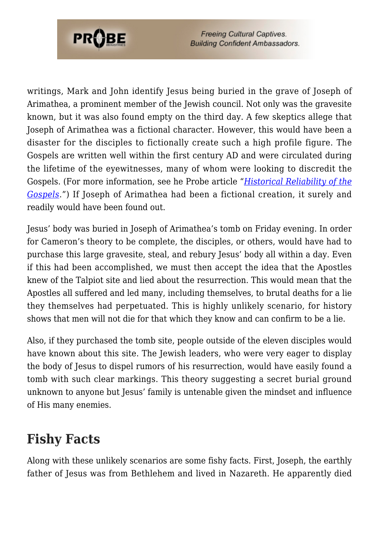

**Freeing Cultural Captives. Building Confident Ambassadors.** 

writings, Mark and John identify Jesus being buried in the grave of Joseph of Arimathea, a prominent member of the Jewish council. Not only was the gravesite known, but it was also found empty on the third day. A few skeptics allege that Joseph of Arimathea was a fictional character. However, this would have been a disaster for the disciples to fictionally create such a high profile figure. The Gospels are written well within the first century AD and were circulated during the lifetime of the eyewitnesses, many of whom were looking to discredit the Gospels. (For more information, see he Probe article "*[Historical Reliability of the](https://www.probe.org/the-historical-reliability-of-the-gospels/) [Gospels](https://www.probe.org/the-historical-reliability-of-the-gospels/)*.") If Joseph of Arimathea had been a fictional creation, it surely and readily would have been found out.

Jesus' body was buried in Joseph of Arimathea's tomb on Friday evening. In order for Cameron's theory to be complete, the disciples, or others, would have had to purchase this large gravesite, steal, and rebury Jesus' body all within a day. Even if this had been accomplished, we must then accept the idea that the Apostles knew of the Talpiot site and lied about the resurrection. This would mean that the Apostles all suffered and led many, including themselves, to brutal deaths for a lie they themselves had perpetuated. This is highly unlikely scenario, for history shows that men will not die for that which they know and can confirm to be a lie.

Also, if they purchased the tomb site, people outside of the eleven disciples would have known about this site. The Jewish leaders, who were very eager to display the body of Jesus to dispel rumors of his resurrection, would have easily found a tomb with such clear markings. This theory suggesting a secret burial ground unknown to anyone but Jesus' family is untenable given the mindset and influence of His many enemies.

### **Fishy Facts**

Along with these unlikely scenarios are some fishy facts. First, Joseph, the earthly father of Jesus was from Bethlehem and lived in Nazareth. He apparently died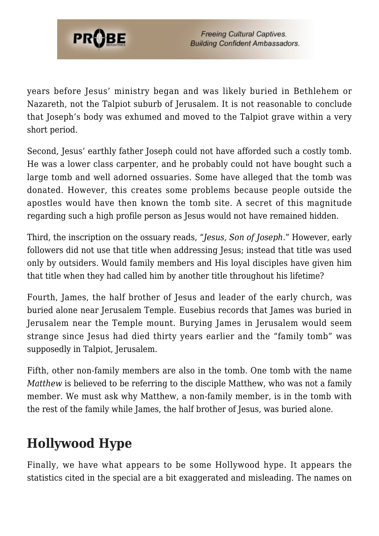

years before Jesus' ministry began and was likely buried in Bethlehem or Nazareth, not the Talpiot suburb of Jerusalem. It is not reasonable to conclude that Joseph's body was exhumed and moved to the Talpiot grave within a very short period.

Second, Jesus' earthly father Joseph could not have afforded such a costly tomb. He was a lower class carpenter, and he probably could not have bought such a large tomb and well adorned ossuaries. Some have alleged that the tomb was donated. However, this creates some problems because people outside the apostles would have then known the tomb site. A secret of this magnitude regarding such a high profile person as Jesus would not have remained hidden.

Third, the inscription on the ossuary reads, "*Jesus, Son of Joseph*." However, early followers did not use that title when addressing Jesus; instead that title was used only by outsiders. Would family members and His loyal disciples have given him that title when they had called him by another title throughout his lifetime?

Fourth, James, the half brother of Jesus and leader of the early church, was buried alone near Jerusalem Temple. Eusebius records that James was buried in Jerusalem near the Temple mount. Burying James in Jerusalem would seem strange since Jesus had died thirty years earlier and the "family tomb" was supposedly in Talpiot, Jerusalem.

Fifth, other non-family members are also in the tomb. One tomb with the name *Matthew* is believed to be referring to the disciple Matthew, who was not a family member. We must ask why Matthew, a non-family member, is in the tomb with the rest of the family while James, the half brother of Jesus, was buried alone.

# **Hollywood Hype**

Finally, we have what appears to be some Hollywood hype. It appears the statistics cited in the special are a bit exaggerated and misleading. The names on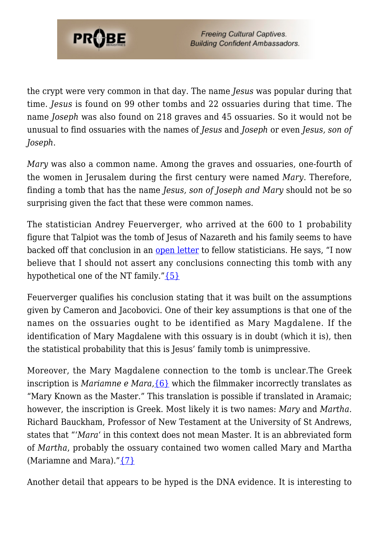

**Freeing Cultural Captives. Building Confident Ambassadors.** 

the crypt were very common in that day. The name *Jesus* was popular during that time. *Jesus* is found on 99 other tombs and 22 ossuaries during that time. The name *Joseph* was also found on 218 graves and 45 ossuaries. So it would not be unusual to find ossuaries with the names of *Jesus* and *Joseph* or even *Jesus, son of Joseph*.

*Mary* was also a common name. Among the graves and ossuaries, one-fourth of the women in Jerusalem during the first century were named *Mary*. Therefore, finding a tomb that has the name *Jesus, son of Joseph and Mary* should not be so surprising given the fact that these were common names.

The statistician Andrey Feuerverger, who arrived at the 600 to 1 probability figure that Talpiot was the tomb of Jesus of Nazareth and his family seems to have backed off that conclusion in an [open letter](http://fisher.utstat.toronto.edu/andrey/OfficeHrs.txt) to fellow statisticians. He says, "I now believe that I should not assert any conclusions connecting this tomb with any hypothetical one of the NT family." $\{5\}$ 

Feuerverger qualifies his conclusion stating that it was built on the assumptions given by Cameron and Jacobovici. One of their key assumptions is that one of the names on the ossuaries ought to be identified as Mary Magdalene. If the identification of Mary Magdalene with this ossuary is in doubt (which it is), then the statistical probability that this is Jesus' family tomb is unimpressive.

Moreover, the Mary Magdalene connection to the tomb is unclear.The Greek inscription is *Mariamne e Mara,*[{6}](#page-8-4) which the filmmaker incorrectly translates as "Mary Known as the Master." This translation is possible if translated in Aramaic; however, the inscription is Greek. Most likely it is two names: *Mary* and *Martha*. Richard Bauckham, Professor of New Testament at the University of St Andrews, states that "'*Mara*' in this context does not mean Master. It is an abbreviated form of *Martha*, probably the ossuary contained two women called Mary and Martha (Mariamne and Mara). $\sqrt[T]{7}$ 

Another detail that appears to be hyped is the DNA evidence. It is interesting to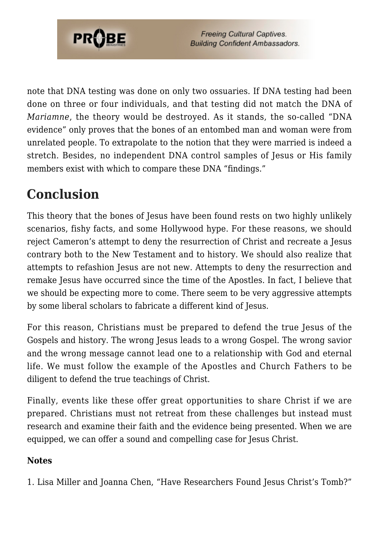

note that DNA testing was done on only two ossuaries. If DNA testing had been done on three or four individuals, and that testing did not match the DNA of *Mariamne*, the theory would be destroyed. As it stands, the so-called "DNA evidence" only proves that the bones of an entombed man and woman were from unrelated people. To extrapolate to the notion that they were married is indeed a stretch. Besides, no independent DNA control samples of Jesus or His family members exist with which to compare these DNA "findings."

## **Conclusion**

This theory that the bones of Jesus have been found rests on two highly unlikely scenarios, fishy facts, and some Hollywood hype. For these reasons, we should reject Cameron's attempt to deny the resurrection of Christ and recreate a Jesus contrary both to the New Testament and to history. We should also realize that attempts to refashion Jesus are not new. Attempts to deny the resurrection and remake Jesus have occurred since the time of the Apostles. In fact, I believe that we should be expecting more to come. There seem to be very aggressive attempts by some liberal scholars to fabricate a different kind of Jesus.

For this reason, Christians must be prepared to defend the true Jesus of the Gospels and history. The wrong Jesus leads to a wrong Gospel. The wrong savior and the wrong message cannot lead one to a relationship with God and eternal life. We must follow the example of the Apostles and Church Fathers to be diligent to defend the true teachings of Christ.

Finally, events like these offer great opportunities to share Christ if we are prepared. Christians must not retreat from these challenges but instead must research and examine their faith and the evidence being presented. When we are equipped, we can offer a sound and compelling case for Jesus Christ.

#### **Notes**

<span id="page-7-0"></span>1. Lisa Miller and Joanna Chen, "Have Researchers Found Jesus Christ's Tomb?"